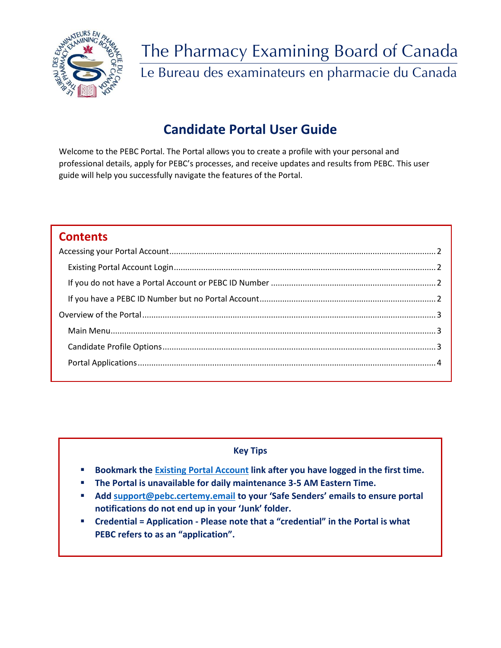

# The Pharmacy Examining Board of Canada Le Bureau des examinateurs en pharmacie du Canada

# **Candidate Portal User Guide**

Welcome to the PEBC Portal. The Portal allows you to create a profile with your personal and professional details, apply for PEBC's processes, and receive updates and results from PEBC. This user guide will help you successfully navigate the features of the Portal.

# **Contents**

### **Key Tips**

- **Bookmark the [Existing Portal Account](https://pebc.certemy.com/entry/login) link after you have logged in the first time.**
- **The Portal is unavailable for daily maintenance 3-5 AM Eastern Time.**
- **Add [support@pebc.certemy.email](no%20reply%20email) to your 'Safe Senders' emails to ensure portal notifications do not end up in your 'Junk' folder.**
- **Credential = Application - Please note that a "credential" in the Portal is what PEBC refers to as an "application".**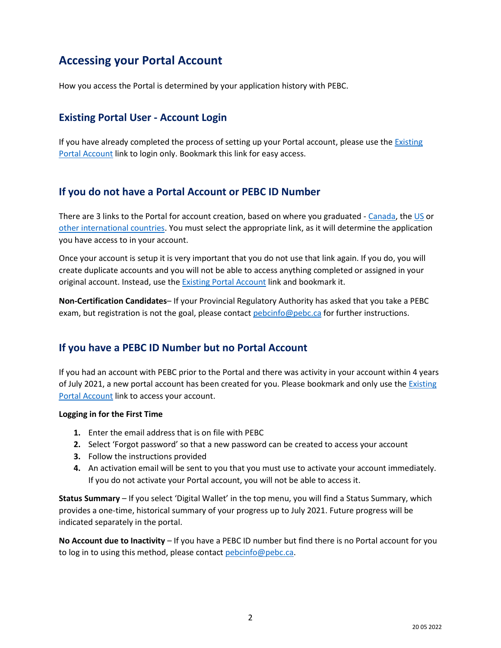# <span id="page-1-0"></span>**Accessing your Portal Account**

How you access the Portal is determined by your application history with PEBC.

## <span id="page-1-1"></span>**Existing Portal User - Account Login**

If you have already completed the process of setting up your Portal account, please use the Existing [Portal Account](https://pebc.certemy.com/entry/login) link to login only. Bookmark this link for easy access.

# <span id="page-1-2"></span>**If you do not have a Portal Account or PEBC ID Number**

There are 3 links to the Portal for account creation, based on where you graduated - [Canada,](https://app.certemy.com/entry/self-enrollments/Pharmacist-ID-and-Education-Verification/e7004ab1-fab8-4c28-858c-455cdec62c74) the [US](https://app.certemy.com/entry/self-enrollments/Pharmacist-US-Document-Evaluation/98032008-a4f5-4016-af93-610cadfa5bde) or [other international countries.](https://app.certemy.com/entry/self-enrollments/Pharmacist-Document-Evaluation/889562b5-ec8a-4b78-9a39-5600e71125f9) You must select the appropriate link, as it will determine the application you have access to in your account.

Once your account is setup it is very important that you do not use that link again. If you do, you will create duplicate accounts and you will not be able to access anything completed or assigned in your original account. Instead, use the **Existing Portal Account link and bookmark it.** 

**Non-Certification Candidates**– If your Provincial Regulatory Authority has asked that you take a PEBC exam, but registration is not the goal, please contac[t pebcinfo@pebc.ca](mailto:pebcinfo@pebc.ca) for further instructions.

# <span id="page-1-3"></span>**If you have a PEBC ID Number but no Portal Account**

If you had an account with PEBC prior to the Portal and there was activity in your account within 4 years of July 2021, a new portal account has been created for you. Please bookmark and only use th[e Existing](https://pebc.certemy.com/entry/login)  [Portal Account](https://pebc.certemy.com/entry/login) link to access your account.

#### **Logging in for the First Time**

- **1.** Enter the email address that is on file with PEBC
- **2.** Select 'Forgot password' so that a new password can be created to access your account
- **3.** Follow the instructions provided
- **4.** An activation email will be sent to you that you must use to activate your account immediately. If you do not activate your Portal account, you will not be able to access it.

**Status Summary** – If you select 'Digital Wallet' in the top menu, you will find a Status Summary, which provides a one-time, historical summary of your progress up to July 2021. Future progress will be indicated separately in the portal.

**No Account due to Inactivity** – If you have a PEBC ID number but find there is no Portal account for you to log in to using this method, please contact [pebcinfo@pebc.ca.](mailto:pebcinfo@pebc.ca)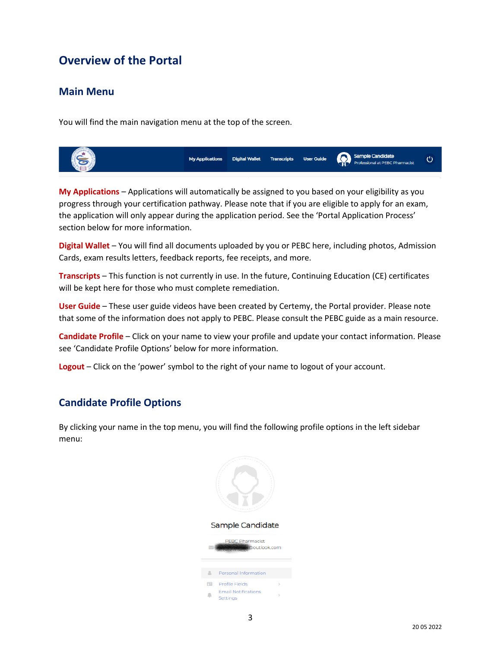# <span id="page-2-0"></span>**Overview of the Portal**

## <span id="page-2-1"></span>**Main Menu**

You will find the main navigation menu at the top of the screen.



**My Applications** – Applications will automatically be assigned to you based on your eligibility as you progress through your certification pathway. Please note that if you are eligible to apply for an exam, the application will only appear during the application period. See the 'Portal Application Process' section below for more information.

**Digital Wallet** – You will find all documents uploaded by you or PEBC here, including photos, Admission Cards, exam results letters, feedback reports, fee receipts, and more.

**Transcripts** – This function is not currently in use. In the future, Continuing Education (CE) certificates will be kept here for those who must complete remediation.

**User Guide** – These user guide videos have been created by Certemy, the Portal provider. Please note that some of the information does not apply to PEBC. Please consult the PEBC guide as a main resource.

**Candidate Profile** – Click on your name to view your profile and update your contact information. Please see 'Candidate Profile Options' below for more information.

**Logout** – Click on the 'power' symbol to the right of your name to logout of your account.

## <span id="page-2-2"></span>**Candidate Profile Options**

By clicking your name in the top menu, you will find the following profile options in the left sidebar menu:

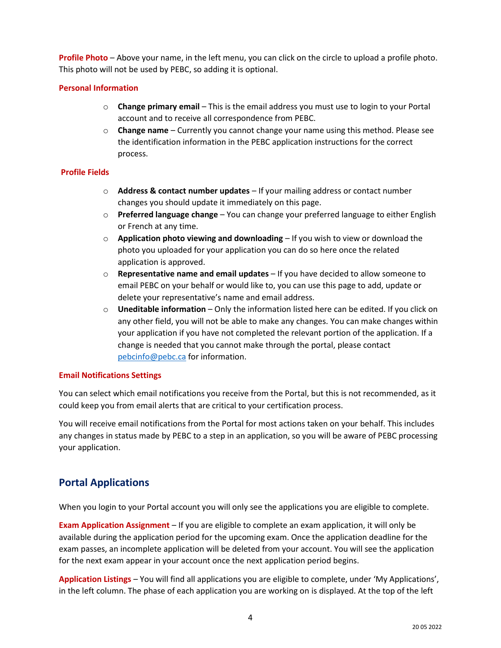**Profile Photo** – Above your name, in the left menu, you can click on the circle to upload a profile photo. This photo will not be used by PEBC, so adding it is optional.

#### **Personal Information**

- o **Change primary email** This is the email address you must use to login to your Portal account and to receive all correspondence from PEBC.
- o **Change name** Currently you cannot change your name using this method. Please see the identification information in the PEBC application instructions for the correct process.

#### **Profile Fields**

- o **Address & contact number updates** If your mailing address or contact number changes you should update it immediately on this page.
- o **Preferred language change**  You can change your preferred language to either English or French at any time.
- o **Application photo viewing and downloading**  If you wish to view or download the photo you uploaded for your application you can do so here once the related application is approved.
- o **Representative name and email updates**  If you have decided to allow someone to email PEBC on your behalf or would like to, you can use this page to add, update or delete your representative's name and email address.
- o **Uneditable information**  Only the information listed here can be edited. If you click on any other field, you will not be able to make any changes. You can make changes within your application if you have not completed the relevant portion of the application. If a change is needed that you cannot make through the portal, please contact [pebcinfo@pebc.ca](mailto:pebcinfo@pebc.ca) for information.

### **Email Notifications Settings**

You can select which email notifications you receive from the Portal, but this is not recommended, as it could keep you from email alerts that are critical to your certification process.

You will receive email notifications from the Portal for most actions taken on your behalf. This includes any changes in status made by PEBC to a step in an application, so you will be aware of PEBC processing your application.

# <span id="page-3-0"></span>**Portal Applications**

When you login to your Portal account you will only see the applications you are eligible to complete.

**Exam Application Assignment** – If you are eligible to complete an exam application, it will only be available during the application period for the upcoming exam. Once the application deadline for the exam passes, an incomplete application will be deleted from your account. You will see the application for the next exam appear in your account once the next application period begins.

**Application Listings** – You will find all applications you are eligible to complete, under 'My Applications', in the left column. The phase of each application you are working on is displayed. At the top of the left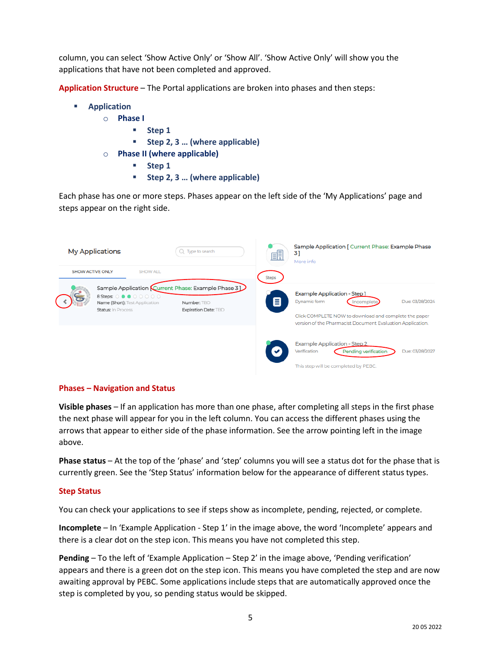column, you can select 'Show Active Only' or 'Show All'. 'Show Active Only' will show you the applications that have not been completed and approved.

**Application Structure** – The Portal applications are broken into phases and then steps:

- **Application**
	- o **Phase I**
		- **Step 1**
		- **Step 2, 3 … (where applicable)**
	- o **Phase II (where applicable)**
		- **Step 1**
		- **Step 2, 3 … (where applicable)**

Each phase has one or more steps. Phases appear on the left side of the 'My Applications' page and steps appear on the right side.

| <b>My Applications</b>  |                                                                                         | $Q$ Type to search                                                                        | 即            | Sample Application [ Current Phase: Example Phase<br>3]<br>More info                                                                                                                                |  |  |
|-------------------------|-----------------------------------------------------------------------------------------|-------------------------------------------------------------------------------------------|--------------|-----------------------------------------------------------------------------------------------------------------------------------------------------------------------------------------------------|--|--|
| <b>SHOW ACTIVE ONLY</b> | <b>SHOW ALL</b>                                                                         |                                                                                           | <b>Steps</b> |                                                                                                                                                                                                     |  |  |
|                         | <b>8 Steps: ○●●○○○○○</b><br>Name (Short): Test Application<br><b>Status: In Process</b> | Sample Application Current Phase: Example Phase 31<br>Number: TBD<br>Expiration Date: TBD | 目            | Example Application - Step 1<br>Dynamic form<br>Due: 03/28/2024<br>ncomplete<br>Click COMPLETE NOW to download and complete the paper<br>version of the Pharmacist Document Evaluation Application. |  |  |
|                         |                                                                                         |                                                                                           |              | <b>Example Application - Step 2</b><br>Due: 03/28/2027<br>Verification<br><b>Pending verification</b>                                                                                               |  |  |
|                         |                                                                                         |                                                                                           |              | This step will be completed by PEBC.                                                                                                                                                                |  |  |

#### **Phases – Navigation and Status**

**Visible phases** – If an application has more than one phase, after completing all steps in the first phase the next phase will appear for you in the left column. You can access the different phases using the arrows that appear to either side of the phase information. See the arrow pointing left in the image above.

**Phase status** – At the top of the 'phase' and 'step' columns you will see a status dot for the phase that is currently green. See the 'Step Status' information below for the appearance of different status types.

#### **Step Status**

You can check your applications to see if steps show as incomplete, pending, rejected, or complete.

**Incomplete** – In 'Example Application - Step 1' in the image above, the word 'Incomplete' appears and there is a clear dot on the step icon. This means you have not completed this step.

**Pending** – To the left of 'Example Application – Step 2' in the image above, 'Pending verification' appears and there is a green dot on the step icon. This means you have completed the step and are now awaiting approval by PEBC. Some applications include steps that are automatically approved once the step is completed by you, so pending status would be skipped.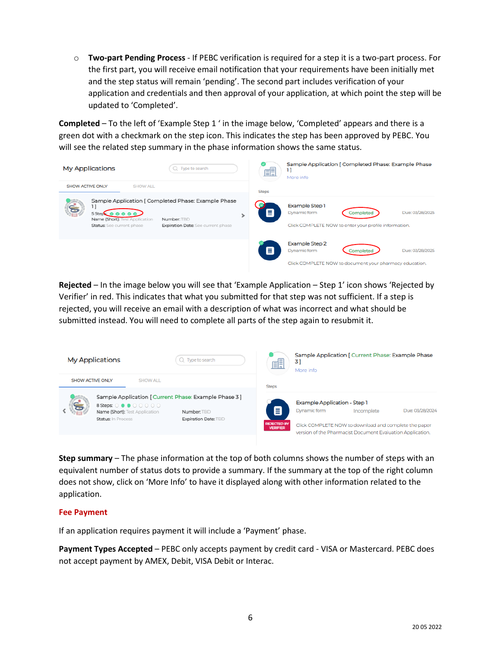o **Two-part Pending Process** - If PEBC verification is required for a step it is a two-part process. For the first part, you will receive email notification that your requirements have been initially met and the step status will remain 'pending'. The second part includes verification of your application and credentials and then approval of your application, at which point the step will be updated to 'Completed'.

**Completed** – To the left of 'Example Step 1 ' in the image below, 'Completed' appears and there is a green dot with a checkmark on the step icon. This indicates the step has been approved by PEBC. You will see the related step summary in the phase information shows the same status.



**Rejected** – In the image below you will see that 'Example Application – Step 1' icon shows 'Rejected by Verifier' in red. This indicates that what you submitted for that step was not sufficient. If a step is rejected, you will receive an email with a description of what was incorrect and what should be submitted instead. You will need to complete all parts of the step again to resubmit it.



**Step summary** – The phase information at the top of both columns shows the number of steps with an equivalent number of status dots to provide a summary. If the summary at the top of the right column does not show, click on 'More Info' to have it displayed along with other information related to the application.

#### **Fee Payment**

If an application requires payment it will include a 'Payment' phase.

**Payment Types Accepted** – PEBC only accepts payment by credit card - VISA or Mastercard. PEBC does not accept payment by AMEX, Debit, VISA Debit or Interac.